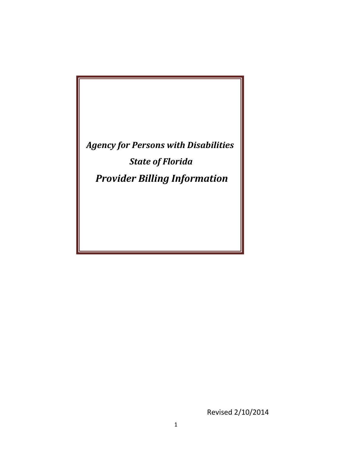*Agency for Persons with Disabilities State of Florida Provider Billing Information*

Revised 2/10/2014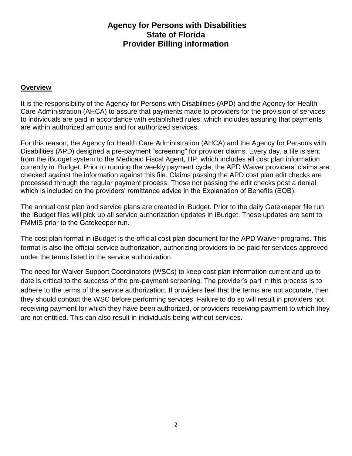### **Agency for Persons with Disabilities State of Florida Provider Billing information**

#### **Overview**

It is the responsibility of the Agency for Persons with Disabilities (APD) and the Agency for Health Care Administration (AHCA) to assure that payments made to providers for the provision of services to individuals are paid in accordance with established rules, which includes assuring that payments are within authorized amounts and for authorized services.

For this reason, the Agency for Health Care Administration (AHCA) and the Agency for Persons with Disabilities (APD) designed a pre-payment "screening" for provider claims. Every day, a file is sent from the iBudget system to the Medicaid Fiscal Agent, HP, which includes all cost plan information currently in iBudget. Prior to running the weekly payment cycle, the APD Waiver providers' claims are checked against the information against this file. Claims passing the APD cost plan edit checks are processed through the regular payment process. Those not passing the edit checks post a denial, which is included on the providers' remittance advice in the Explanation of Benefits (EOB).

The annual cost plan and service plans are created in iBudget. Prior to the daily Gatekeeper file run, the iBudget files will pick up all service authorization updates in iBudget. These updates are sent to FMMIS prior to the Gatekeeper run.

The cost plan format in iBudget is the official cost plan document for the APD Waiver programs. This format is also the official service authorization, authorizing providers to be paid for services approved under the terms listed in the service authorization.

The need for Waiver Support Coordinators (WSCs) to keep cost plan information current and up to date is critical to the success of the pre-payment screening. The provider's part in this process is to adhere to the terms of the service authorization. If providers feel that the terms are not accurate, then they should contact the WSC before performing services. Failure to do so will result in providers not receiving payment for which they have been authorized, or providers receiving payment to which they are not entitled. This can also result in individuals being without services.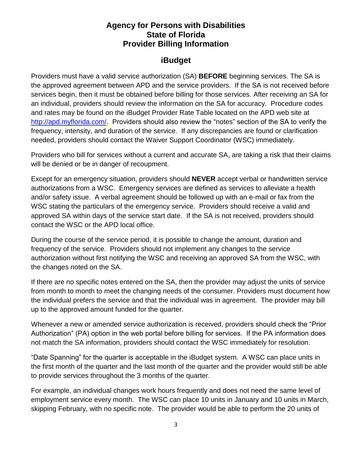### **Agency for Persons with Disabilities State of Florida Provider Billing Information**

### **iBudget**

Providers must have a valid service authorization (SA) **BEFORE** beginning services. The SA is the approved agreement between APD and the service providers. If the SA is not received before services begin, then it must be obtained before billing for those services. After receiving an SA for an individual, providers should review the information on the SA for accuracy. Procedure codes and rates may be found on the iBudget Provider Rate Table located on the APD web site at [http://apd.myflorida.com/.](http://apd.myflorida.com/) Providers should also review the "notes" section of the SA to verify the frequency, intensity, and duration of the service. If any discrepancies are found or clarification needed, providers should contact the Waiver Support Coordinator (WSC) immediately.

Providers who bill for services without a current and accurate SA, are taking a risk that their claims will be denied or be in danger of recoupment.

Except for an emergency situation, providers should **NEVER** accept verbal or handwritten service authorizations from a WSC. Emergency services are defined as services to alleviate a health and/or safety issue. A verbal agreement should be followed up with an e-mail or fax from the WSC stating the particulars of the emergency service. Providers should receive a valid and approved SA within days of the service start date. If the SA is not received, providers should contact the WSC or the APD local office.

During the course of the service period, it is possible to change the amount, duration and frequency of the service. Providers should not implement any changes to the service authorization without first notifying the WSC and receiving an approved SA from the WSC, with the changes noted on the SA.

If there are no specific notes entered on the SA, then the provider may adjust the units of service from month to month to meet the changing needs of the consumer. Providers must document how the individual prefers the service and that the individual was in agreement. The provider may bill up to the approved amount funded for the quarter.

Whenever a new or amended service authorization is received, providers should check the "Prior Authorization" (PA) option in the web portal before billing for services. If the PA information does not match the SA information, providers should contact the WSC immediately for resolution.

"Date Spanning" for the quarter is acceptable in the iBudget system. A WSC can place units in the first month of the quarter and the last month of the quarter and the provider would still be able to provide services throughout the 3 months of the quarter.

For example, an individual changes work hours frequently and does not need the same level of employment service every month. The WSC can place 10 units in January and 10 units in March, skipping February, with no specific note. The provider would be able to perform the 20 units of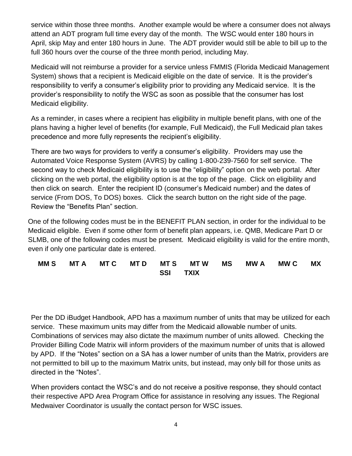service within those three months. Another example would be where a consumer does not always attend an ADT program full time every day of the month. The WSC would enter 180 hours in April, skip May and enter 180 hours in June. The ADT provider would still be able to bill up to the full 360 hours over the course of the three month period, including May.

Medicaid will not reimburse a provider for a service unless FMMIS (Florida Medicaid Management System) shows that a recipient is Medicaid eligible on the date of service. It is the provider's responsibility to verify a consumer's eligibility prior to providing any Medicaid service. It is the provider's responsibility to notify the WSC as soon as possible that the consumer has lost Medicaid eligibility.

As a reminder, in cases where a recipient has eligibility in multiple benefit plans, with one of the plans having a higher level of benefits (for example, Full Medicaid), the Full Medicaid plan takes precedence and more fully represents the recipient's eligibility.

There are two ways for providers to verify a consumer's eligibility. Providers may use the Automated Voice Response System (AVRS) by calling 1-800-239-7560 for self service. The second way to check Medicaid eligibility is to use the "eligibility" option on the web portal. After clicking on the web portal, the eligibility option is at the top of the page. Click on eligibility and then click on search. Enter the recipient ID (consumer's Medicaid number) and the dates of service (From DOS, To DOS) boxes. Click the search button on the right side of the page. Review the "Benefits Plan" section.

One of the following codes must be in the BENEFIT PLAN section, in order for the individual to be Medicaid eligible. Even if some other form of benefit plan appears, i.e. QMB, Medicare Part D or SLMB, one of the following codes must be present. Medicaid eligibility is valid for the entire month, even if only one particular date is entered.

#### **MM S MT A MT C MT D MT S MT W MS MW A MW C MX SSI TXIX**

Per the DD iBudget Handbook, APD has a maximum number of units that may be utilized for each service. These maximum units may differ from the Medicaid allowable number of units. Combinations of services may also dictate the maximum number of units allowed. Checking the Provider Billing Code Matrix will inform providers of the maximum number of units that is allowed by APD. If the "Notes" section on a SA has a lower number of units than the Matrix, providers are not permitted to bill up to the maximum Matrix units, but instead, may only bill for those units as directed in the "Notes".

When providers contact the WSC's and do not receive a positive response, they should contact their respective APD Area Program Office for assistance in resolving any issues. The Regional Medwaiver Coordinator is usually the contact person for WSC issues.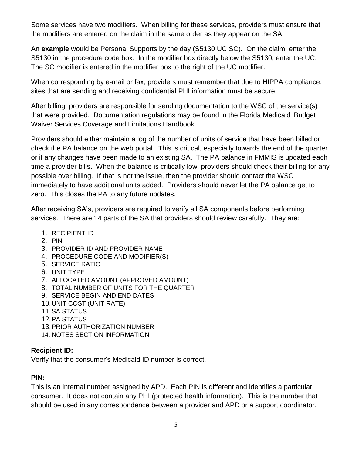Some services have two modifiers. When billing for these services, providers must ensure that the modifiers are entered on the claim in the same order as they appear on the SA.

An **example** would be Personal Supports by the day (S5130 UC SC). On the claim, enter the S5130 in the procedure code box. In the modifier box directly below the S5130, enter the UC. The SC modifier is entered in the modifier box to the right of the UC modifier.

When corresponding by e-mail or fax, providers must remember that due to HIPPA compliance, sites that are sending and receiving confidential PHI information must be secure.

After billing, providers are responsible for sending documentation to the WSC of the service(s) that were provided. Documentation regulations may be found in the Florida Medicaid iBudget Waiver Services Coverage and Limitations Handbook.

Providers should either maintain a log of the number of units of service that have been billed or check the PA balance on the web portal. This is critical, especially towards the end of the quarter or if any changes have been made to an existing SA. The PA balance in FMMIS is updated each time a provider bills. When the balance is critically low, providers should check their billing for any possible over billing. If that is not the issue, then the provider should contact the WSC immediately to have additional units added. Providers should never let the PA balance get to zero. This closes the PA to any future updates.

After receiving SA's, providers are required to verify all SA components before performing services. There are 14 parts of the SA that providers should review carefully. They are:

- 1. RECIPIENT ID
- 2. PIN
- 3. PROVIDER ID AND PROVIDER NAME
- 4. PROCEDURE CODE AND MODIFIER(S)
- 5. SERVICE RATIO
- 6. UNIT TYPE
- 7. ALLOCATED AMOUNT (APPROVED AMOUNT)
- 8. TOTAL NUMBER OF UNITS FOR THE QUARTER
- 9. SERVICE BEGIN AND END DATES
- 10.UNIT COST (UNIT RATE)
- 11.SA STATUS
- 12.PA STATUS
- 13.PRIOR AUTHORIZATION NUMBER
- 14. NOTES SECTION INFORMATION

#### **Recipient ID:**

Verify that the consumer's Medicaid ID number is correct.

#### **PIN:**

This is an internal number assigned by APD. Each PIN is different and identifies a particular consumer. It does not contain any PHI (protected health information). This is the number that should be used in any correspondence between a provider and APD or a support coordinator.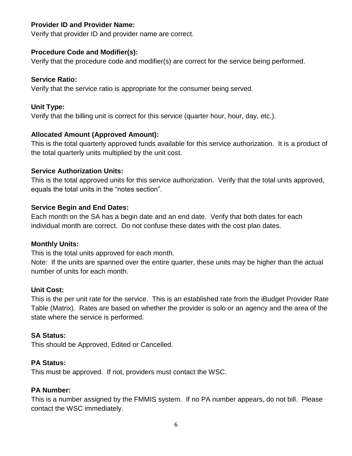#### **Provider ID and Provider Name:**

Verify that provider ID and provider name are correct.

### **Procedure Code and Modifier(s):**

Verify that the procedure code and modifier(s) are correct for the service being performed.

### **Service Ratio:**

Verify that the service ratio is appropriate for the consumer being served.

# **Unit Type:**

Verify that the billing unit is correct for this service (quarter hour, hour, day, etc.).

# **Allocated Amount (Approved Amount):**

This is the total quarterly approved funds available for this service authorization. It is a product of the total quarterly units multiplied by the unit cost.

### **Service Authorization Units:**

This is the total approved units for this service authorization. Verify that the total units approved, equals the total units in the "notes section".

# **Service Begin and End Dates:**

Each month on the SA has a begin date and an end date. Verify that both dates for each individual month are correct. Do not confuse these dates with the cost plan dates.

### **Monthly Units:**

This is the total units approved for each month.

Note: If the units are spanned over the entire quarter, these units may be higher than the actual number of units for each month.

### **Unit Cost:**

This is the per unit rate for the service. This is an established rate from the iBudget Provider Rate Table (Matrix). Rates are based on whether the provider is solo or an agency and the area of the state where the service is performed.

# **SA Status:**

This should be Approved, Edited or Cancelled.

### **PA Status:**

This must be approved. If not, providers must contact the WSC.

### **PA Number:**

This is a number assigned by the FMMIS system. If no PA number appears, do not bill. Please contact the WSC immediately.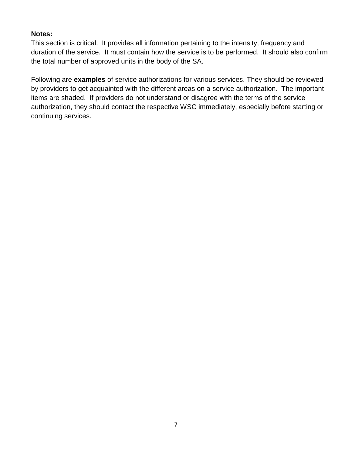#### **Notes:**

This section is critical. It provides all information pertaining to the intensity, frequency and duration of the service. It must contain how the service is to be performed. It should also confirm the total number of approved units in the body of the SA.

Following are **examples** of service authorizations for various services. They should be reviewed by providers to get acquainted with the different areas on a service authorization. The important items are shaded. If providers do not understand or disagree with the terms of the service authorization, they should contact the respective WSC immediately, especially before starting or continuing services.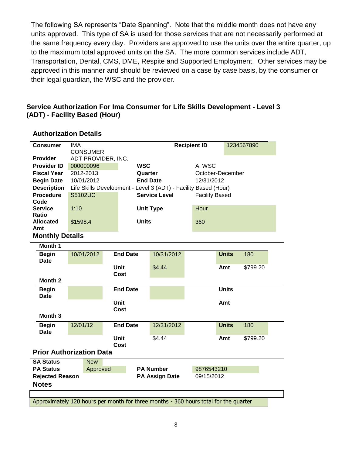The following SA represents "Date Spanning". Note that the middle month does not have any units approved. This type of SA is used for those services that are not necessarily performed at the same frequency every day. Providers are approved to use the units over the entire quarter, up to the maximum total approved units on the SA. The more common services include ADT, Transportation, Dental, CMS, DME, Respite and Supported Employment. Other services may be approved in this manner and should be reviewed on a case by case basis, by the consumer or their legal guardian, the WSC and the provider.

#### **Service Authorization For Ima Consumer for Life Skills Development - Level 3 (ADT) - Facility Based (Hour)**

| <b>Consumer</b>                 | <b>IMA</b>             |                 |                  |                                                                                      | <b>Recipient ID</b> | 1234567890            |          |  |  |
|---------------------------------|------------------------|-----------------|------------------|--------------------------------------------------------------------------------------|---------------------|-----------------------|----------|--|--|
|                                 | <b>CONSUMER</b>        |                 |                  |                                                                                      |                     |                       |          |  |  |
| Provider                        | ADT PROVIDER, INC.     |                 |                  |                                                                                      |                     |                       |          |  |  |
| <b>Provider ID</b>              | 000000096              |                 | <b>WSC</b>       |                                                                                      | A. WSC              |                       |          |  |  |
| <b>Fiscal Year</b>              | 2012-2013              |                 | Quarter          |                                                                                      |                     | October-December      |          |  |  |
| <b>Begin Date</b>               | 10/01/2012             |                 |                  | <b>End Date</b>                                                                      | 12/31/2012          |                       |          |  |  |
| <b>Description</b>              |                        |                 |                  | Life Skills Development - Level 3 (ADT) - Facility Based (Hour)                      |                     |                       |          |  |  |
| <b>Procedure</b>                | <b>S5102UC</b>         |                 |                  | <b>Service Level</b>                                                                 |                     | <b>Facility Based</b> |          |  |  |
| Code                            |                        |                 |                  |                                                                                      |                     |                       |          |  |  |
| <b>Service</b>                  | 1:10                   |                 |                  | <b>Unit Type</b>                                                                     | Hour                |                       |          |  |  |
| Ratio                           |                        |                 |                  |                                                                                      |                     |                       |          |  |  |
| <b>Allocated</b><br>Amt         | \$1598.4               |                 | <b>Units</b>     |                                                                                      | 360                 |                       |          |  |  |
| <b>Monthly Details</b>          |                        |                 |                  |                                                                                      |                     |                       |          |  |  |
|                                 |                        |                 |                  |                                                                                      |                     |                       |          |  |  |
| Month 1                         |                        |                 |                  |                                                                                      |                     |                       |          |  |  |
| <b>Begin</b>                    | 10/01/2012             | <b>End Date</b> |                  | 10/31/2012                                                                           |                     | <b>Units</b>          | 180      |  |  |
| <b>Date</b>                     |                        | <b>Unit</b>     |                  | \$4.44                                                                               |                     |                       | \$799.20 |  |  |
|                                 |                        | Cost            |                  |                                                                                      |                     | Amt                   |          |  |  |
| Month <sub>2</sub>              |                        |                 |                  |                                                                                      |                     |                       |          |  |  |
| <b>Begin</b>                    |                        | <b>End Date</b> |                  |                                                                                      |                     | <b>Units</b>          |          |  |  |
| <b>Date</b>                     | <b>Unit</b>            |                 |                  |                                                                                      |                     |                       |          |  |  |
|                                 |                        |                 |                  |                                                                                      |                     | Amt                   |          |  |  |
|                                 | Cost                   |                 |                  |                                                                                      |                     |                       |          |  |  |
| Month <sub>3</sub>              |                        |                 |                  |                                                                                      |                     |                       |          |  |  |
| <b>Begin</b>                    | 12/01/12               | <b>End Date</b> |                  | 12/31/2012                                                                           |                     | <b>Units</b>          | 180      |  |  |
| <b>Date</b>                     |                        |                 |                  |                                                                                      |                     |                       |          |  |  |
|                                 |                        | <b>Unit</b>     |                  | \$4.44                                                                               |                     | Amt                   | \$799.20 |  |  |
|                                 |                        | Cost            |                  |                                                                                      |                     |                       |          |  |  |
| <b>Prior Authorization Data</b> |                        |                 |                  |                                                                                      |                     |                       |          |  |  |
| <b>SA Status</b>                | <b>New</b>             |                 |                  |                                                                                      |                     |                       |          |  |  |
| <b>PA Status</b>                | Approved               |                 | <b>PA Number</b> |                                                                                      |                     | 9876543210            |          |  |  |
|                                 | <b>Rejected Reason</b> |                 |                  | <b>PA Assign Date</b>                                                                | 09/15/2012          |                       |          |  |  |
| <b>Notes</b>                    |                        |                 |                  |                                                                                      |                     |                       |          |  |  |
|                                 |                        |                 |                  |                                                                                      |                     |                       |          |  |  |
|                                 |                        |                 |                  | Approximately 120 hours per month for three months - 360 hours total for the quarter |                     |                       |          |  |  |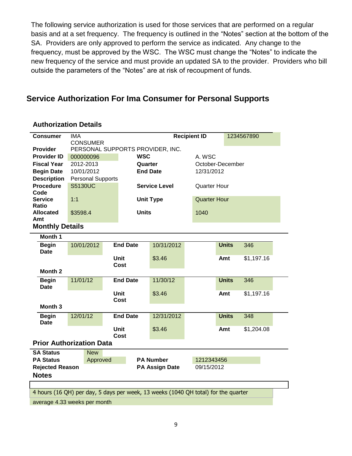The following service authorization is used for those services that are performed on a regular basis and at a set frequency. The frequency is outlined in the "Notes" section at the bottom of the SA. Providers are only approved to perform the service as indicated. Any change to the frequency, must be approved by the WSC. The WSC must change the "Notes" to indicate the new frequency of the service and must provide an updated SA to the provider. Providers who bill outside the parameters of the "Notes" are at risk of recoupment of funds.

### **Service Authorization For Ima Consumer for Personal Supports**

| <b>Consumer</b>                                                                                                    | <b>IMA</b>                       |                         |                       |                      | <b>Recipient ID</b> |                     | 1234567890 |  |  |  |
|--------------------------------------------------------------------------------------------------------------------|----------------------------------|-------------------------|-----------------------|----------------------|---------------------|---------------------|------------|--|--|--|
|                                                                                                                    | <b>CONSUMER</b>                  |                         |                       |                      |                     |                     |            |  |  |  |
| <b>Provider</b>                                                                                                    | PERSONAL SUPPORTS PROVIDER, INC. |                         |                       |                      |                     |                     |            |  |  |  |
| <b>Provider ID</b>                                                                                                 |                                  | <b>WSC</b><br>000000096 |                       |                      |                     | A. WSC              |            |  |  |  |
| <b>Fiscal Year</b>                                                                                                 | 2012-2013                        |                         | Quarter               |                      |                     | October-December    |            |  |  |  |
| <b>Begin Date</b>                                                                                                  | 10/01/2012                       |                         |                       | <b>End Date</b>      |                     | 12/31/2012          |            |  |  |  |
| <b>Description</b>                                                                                                 | <b>Personal Supports</b>         |                         |                       |                      |                     |                     |            |  |  |  |
| <b>Procedure</b>                                                                                                   | <b>S5130UC</b>                   |                         |                       | <b>Service Level</b> | <b>Quarter Hour</b> |                     |            |  |  |  |
| Code                                                                                                               |                                  |                         |                       |                      |                     |                     |            |  |  |  |
| <b>Service</b>                                                                                                     | 1:1                              |                         |                       | <b>Unit Type</b>     |                     | <b>Quarter Hour</b> |            |  |  |  |
| Ratio                                                                                                              |                                  |                         |                       |                      |                     |                     |            |  |  |  |
| <b>Allocated</b>                                                                                                   | \$3598.4                         |                         | <b>Units</b>          |                      | 1040                |                     |            |  |  |  |
| Amt                                                                                                                |                                  |                         |                       |                      |                     |                     |            |  |  |  |
| <b>Monthly Details</b>                                                                                             |                                  |                         |                       |                      |                     |                     |            |  |  |  |
| Month 1                                                                                                            |                                  |                         |                       |                      |                     |                     |            |  |  |  |
| <b>Begin</b>                                                                                                       | 10/01/2012                       |                         | <b>End Date</b>       | 10/31/2012           |                     | <b>Units</b>        | 346        |  |  |  |
| Date                                                                                                               |                                  |                         |                       |                      |                     |                     |            |  |  |  |
|                                                                                                                    | <b>Unit</b>                      |                         | \$3.46                |                      | Amt                 | \$1,197.16          |            |  |  |  |
|                                                                                                                    |                                  |                         | Cost                  |                      |                     |                     |            |  |  |  |
| Month 2                                                                                                            |                                  |                         |                       |                      |                     |                     |            |  |  |  |
| <b>Begin</b>                                                                                                       | 11/01/12                         |                         | <b>End Date</b>       | 11/30/12             |                     | <b>Units</b>        | 346        |  |  |  |
| <b>Date</b>                                                                                                        | <b>Unit</b><br><b>Cost</b>       |                         |                       |                      |                     |                     |            |  |  |  |
|                                                                                                                    |                                  |                         |                       | \$3.46               |                     | Amt                 | \$1,197.16 |  |  |  |
|                                                                                                                    |                                  |                         |                       |                      |                     |                     |            |  |  |  |
| Month <sub>3</sub>                                                                                                 |                                  |                         |                       |                      |                     |                     |            |  |  |  |
| <b>Begin</b>                                                                                                       | 12/01/12                         |                         | <b>End Date</b>       | 12/31/2012           |                     | <b>Units</b>        | 348        |  |  |  |
| <b>Date</b>                                                                                                        |                                  |                         |                       |                      |                     |                     |            |  |  |  |
|                                                                                                                    |                                  |                         | Unit                  | \$3.46               |                     | Amt                 | \$1,204.08 |  |  |  |
|                                                                                                                    |                                  |                         | Cost                  |                      |                     |                     |            |  |  |  |
| <b>Prior Authorization Data</b>                                                                                    |                                  |                         |                       |                      |                     |                     |            |  |  |  |
| <b>SA Status</b>                                                                                                   | <b>New</b>                       |                         |                       |                      |                     |                     |            |  |  |  |
| <b>PA Status</b>                                                                                                   | Approved                         |                         | <b>PA Number</b>      |                      | 1212343456          |                     |            |  |  |  |
| <b>Rejected Reason</b>                                                                                             |                                  |                         | <b>PA Assign Date</b> |                      | 09/15/2012          |                     |            |  |  |  |
| <b>Notes</b>                                                                                                       |                                  |                         |                       |                      |                     |                     |            |  |  |  |
|                                                                                                                    |                                  |                         |                       |                      |                     |                     |            |  |  |  |
|                                                                                                                    |                                  |                         |                       |                      |                     |                     |            |  |  |  |
| 4 hours (16 QH) per day, 5 days per week, 13 weeks (1040 QH total) for the quarter<br>average 4.33 weeks per month |                                  |                         |                       |                      |                     |                     |            |  |  |  |
|                                                                                                                    |                                  |                         |                       |                      |                     |                     |            |  |  |  |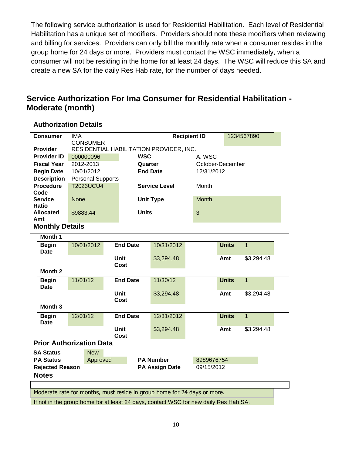The following service authorization is used for Residential Habilitation. Each level of Residential Habilitation has a unique set of modifiers. Providers should note these modifiers when reviewing and billing for services. Providers can only bill the monthly rate when a consumer resides in the group home for 24 days or more. Providers must contact the WSC immediately, when a consumer will not be residing in the home for at least 24 days. The WSC will reduce this SA and create a new SA for the daily Res Hab rate, for the number of days needed.

### **Service Authorization For Ima Consumer for Residential Habilitation - Moderate (month)**

| <b>Consumer</b>                                                          | <b>IMA</b>                                                                           |                      |                       | <b>Recipient ID</b> |                      |            |                  |              | 1234567890     |  |  |
|--------------------------------------------------------------------------|--------------------------------------------------------------------------------------|----------------------|-----------------------|---------------------|----------------------|------------|------------------|--------------|----------------|--|--|
| <b>Provider</b>                                                          | <b>CONSUMER</b><br>RESIDENTIAL HABILITATION PROVIDER, INC.                           |                      |                       |                     |                      |            |                  |              |                |  |  |
| <b>Provider ID</b>                                                       | <b>WSC</b><br>000000096                                                              |                      |                       |                     | A. WSC               |            |                  |              |                |  |  |
| <b>Fiscal Year</b>                                                       |                                                                                      | 2012-2013<br>Quarter |                       |                     |                      |            | October-December |              |                |  |  |
| <b>Begin Date</b>                                                        | 10/01/2012                                                                           |                      |                       | <b>End Date</b>     |                      | 12/31/2012 |                  |              |                |  |  |
| <b>Description</b>                                                       | <b>Personal Supports</b>                                                             |                      |                       |                     |                      |            |                  |              |                |  |  |
| <b>Procedure</b>                                                         | <b>T2023UCU4</b>                                                                     |                      |                       |                     | <b>Service Level</b> |            | Month            |              |                |  |  |
| Code                                                                     |                                                                                      |                      |                       |                     |                      |            |                  |              |                |  |  |
| <b>Service</b>                                                           | <b>None</b>                                                                          |                      |                       |                     | <b>Unit Type</b>     |            | <b>Month</b>     |              |                |  |  |
| <b>Ratio</b>                                                             |                                                                                      |                      |                       |                     |                      |            |                  |              |                |  |  |
| <b>Allocated</b>                                                         | \$9883.44                                                                            |                      |                       | <b>Units</b>        |                      | 3          |                  |              |                |  |  |
| Amt                                                                      |                                                                                      |                      |                       |                     |                      |            |                  |              |                |  |  |
| <b>Monthly Details</b>                                                   |                                                                                      |                      |                       |                     |                      |            |                  |              |                |  |  |
| Month 1                                                                  |                                                                                      |                      |                       |                     |                      |            |                  |              |                |  |  |
| <b>Begin</b><br><b>Date</b>                                              | 10/01/2012                                                                           |                      |                       | <b>End Date</b>     | 10/31/2012           |            |                  | <b>Units</b> | $\overline{1}$ |  |  |
|                                                                          |                                                                                      | <b>Unit</b><br>Cost  |                       | \$3,294.48          |                      |            | Amt              | \$3,294.48   |                |  |  |
| Month <sub>2</sub>                                                       |                                                                                      |                      |                       |                     |                      |            |                  |              |                |  |  |
| <b>Begin</b><br><b>Date</b>                                              | 11/01/12                                                                             |                      |                       | <b>End Date</b>     | 11/30/12             |            |                  | <b>Units</b> | $\overline{1}$ |  |  |
|                                                                          |                                                                                      |                      | <b>Unit</b><br>Cost   | \$3,294.48          |                      | Amt        |                  | \$3,294.48   |                |  |  |
| Month <sub>3</sub>                                                       |                                                                                      |                      |                       |                     |                      |            |                  |              |                |  |  |
| <b>Begin</b><br><b>Date</b>                                              | 12/01/12                                                                             |                      |                       | <b>End Date</b>     | 12/31/2012           |            |                  | <b>Units</b> | $\overline{1}$ |  |  |
|                                                                          |                                                                                      |                      |                       | <b>Unit</b>         | \$3,294.48           |            |                  | Amt          | \$3,294.48     |  |  |
|                                                                          |                                                                                      |                      |                       | <b>Cost</b>         |                      |            |                  |              |                |  |  |
| <b>Prior Authorization Data</b>                                          |                                                                                      |                      |                       |                     |                      |            |                  |              |                |  |  |
| <b>SA Status</b>                                                         |                                                                                      | <b>New</b>           |                       |                     |                      |            |                  |              |                |  |  |
| <b>PA Status</b><br>Approved                                             |                                                                                      |                      |                       | <b>PA Number</b>    |                      | 8989676754 |                  |              |                |  |  |
| <b>Rejected Reason</b>                                                   |                                                                                      |                      | <b>PA Assign Date</b> |                     | 09/15/2012           |            |                  |              |                |  |  |
| <b>Notes</b>                                                             |                                                                                      |                      |                       |                     |                      |            |                  |              |                |  |  |
|                                                                          |                                                                                      |                      |                       |                     |                      |            |                  |              |                |  |  |
| Moderate rate for months, must reside in group home for 24 days or more. |                                                                                      |                      |                       |                     |                      |            |                  |              |                |  |  |
|                                                                          | If not in the group home for at least 24 days, contact WSC for new daily Res Hab SA. |                      |                       |                     |                      |            |                  |              |                |  |  |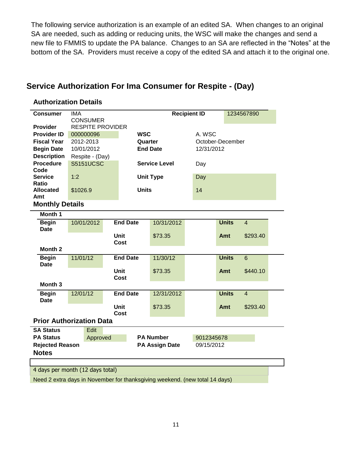The following service authorization is an example of an edited SA. When changes to an original SA are needed, such as adding or reducing units, the WSC will make the changes and send a new file to FMMIS to update the PA balance. Changes to an SA are reflected in the "Notes" at the bottom of the SA. Providers must receive a copy of the edited SA and attach it to the original one.

# **Service Authorization For Ima Consumer for Respite - (Day)**

| <b>Consumer</b>                                                             | <b>IMA</b>                                 |           |                       |                      | <b>Recipient ID</b><br>1234567890 |                  |            |              |                |  |  |
|-----------------------------------------------------------------------------|--------------------------------------------|-----------|-----------------------|----------------------|-----------------------------------|------------------|------------|--------------|----------------|--|--|
| <b>Provider</b>                                                             | <b>CONSUMER</b><br><b>RESPITE PROVIDER</b> |           |                       |                      |                                   |                  |            |              |                |  |  |
|                                                                             |                                            |           |                       |                      |                                   |                  |            |              |                |  |  |
| <b>Provider ID</b>                                                          |                                            | 000000096 |                       |                      | <b>WSC</b>                        |                  | A. WSC     |              |                |  |  |
| <b>Fiscal Year</b>                                                          | 2012-2013                                  |           |                       | Quarter              |                                   | October-December |            |              |                |  |  |
| <b>Begin Date</b>                                                           | 10/01/2012                                 |           |                       | <b>End Date</b>      |                                   |                  | 12/31/2012 |              |                |  |  |
| <b>Description</b>                                                          | Respite - (Day)                            |           |                       |                      |                                   |                  |            |              |                |  |  |
| <b>Procedure</b>                                                            | <b>S5151UCSC</b>                           |           |                       | <b>Service Level</b> |                                   |                  | Day        |              |                |  |  |
| Code                                                                        |                                            |           |                       |                      |                                   |                  |            |              |                |  |  |
| <b>Service</b>                                                              | 1:2                                        |           |                       |                      | <b>Unit Type</b>                  |                  | Day        |              |                |  |  |
| <b>Ratio</b>                                                                |                                            |           |                       |                      |                                   |                  |            |              |                |  |  |
| <b>Allocated</b>                                                            | \$1026.9                                   |           |                       | <b>Units</b>         |                                   |                  | 14         |              |                |  |  |
| Amt                                                                         |                                            |           |                       |                      |                                   |                  |            |              |                |  |  |
| <b>Monthly Details</b>                                                      |                                            |           |                       |                      |                                   |                  |            |              |                |  |  |
| Month 1                                                                     |                                            |           |                       |                      |                                   |                  |            |              |                |  |  |
| <b>Begin</b>                                                                | 10/01/2012                                 |           | <b>End Date</b>       |                      | 10/31/2012                        |                  |            | <b>Units</b> | $\overline{4}$ |  |  |
| Date                                                                        |                                            |           |                       |                      |                                   |                  |            |              |                |  |  |
|                                                                             |                                            |           | <b>Unit</b>           |                      | \$73.35                           |                  |            | Amt          | \$293.40       |  |  |
|                                                                             |                                            |           | <b>Cost</b>           |                      |                                   |                  |            |              |                |  |  |
| Month <sub>2</sub>                                                          |                                            |           |                       |                      |                                   |                  |            |              |                |  |  |
| <b>Begin</b>                                                                | 11/01/12                                   |           | <b>End Date</b>       |                      | 11/30/12                          |                  |            | <b>Units</b> | $\overline{6}$ |  |  |
| Date                                                                        |                                            |           |                       |                      |                                   |                  |            |              |                |  |  |
|                                                                             |                                            |           | Unit                  |                      | \$73.35                           |                  |            | Amt          | \$440.10       |  |  |
|                                                                             |                                            |           | <b>Cost</b>           |                      |                                   |                  |            |              |                |  |  |
| Month <sub>3</sub>                                                          |                                            |           |                       |                      |                                   |                  |            |              |                |  |  |
| <b>Begin</b>                                                                | 12/01/12                                   |           | <b>End Date</b>       |                      | 12/31/2012                        |                  |            | <b>Units</b> | $\overline{4}$ |  |  |
| Date                                                                        |                                            |           |                       |                      |                                   |                  |            |              |                |  |  |
|                                                                             |                                            |           | Unit                  |                      | \$73.35                           |                  |            | Amt          | \$293.40       |  |  |
|                                                                             |                                            |           | <b>Cost</b>           |                      |                                   |                  |            |              |                |  |  |
| <b>Prior Authorization Data</b>                                             |                                            |           |                       |                      |                                   |                  |            |              |                |  |  |
| <b>SA Status</b>                                                            | Edit                                       |           |                       |                      |                                   |                  |            |              |                |  |  |
| <b>PA Status</b><br>Approved                                                |                                            |           | <b>PA Number</b>      |                      |                                   | 9012345678       |            |              |                |  |  |
| <b>Rejected Reason</b>                                                      |                                            |           | <b>PA Assign Date</b> |                      |                                   | 09/15/2012       |            |              |                |  |  |
| <b>Notes</b>                                                                |                                            |           |                       |                      |                                   |                  |            |              |                |  |  |
|                                                                             |                                            |           |                       |                      |                                   |                  |            |              |                |  |  |
| 4 days per month (12 days total)                                            |                                            |           |                       |                      |                                   |                  |            |              |                |  |  |
| Need 2 extra days in November for thanksgiving weekend. (new total 14 days) |                                            |           |                       |                      |                                   |                  |            |              |                |  |  |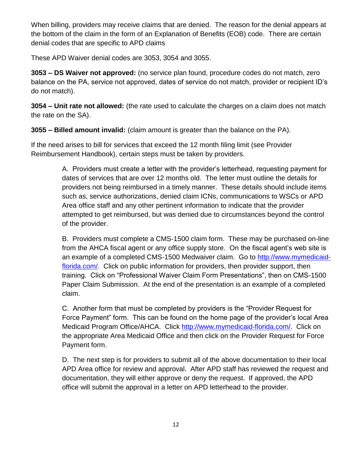When billing, providers may receive claims that are denied. The reason for the denial appears at the bottom of the claim in the form of an Explanation of Benefits (EOB) code. There are certain denial codes that are specific to APD claims

These APD Waiver denial codes are 3053, 3054 and 3055.

**3053 – DS Waiver not approved:** (no service plan found, procedure codes do not match, zero balance on the PA, service not approved, dates of service do not match, provider or recipient ID's do not match).

**3054 – Unit rate not allowed:** (the rate used to calculate the charges on a claim does not match the rate on the SA).

**3055 – Billed amount invalid:** (claim amount is greater than the balance on the PA).

If the need arises to bill for services that exceed the 12 month filing limit (see Provider Reimbursement Handbook), certain steps must be taken by providers.

> A. Providers must create a letter with the provider's letterhead, requesting payment for dates of services that are over 12 months old. The letter must outline the details for providers not being reimbursed in a timely manner. These details should include items such as, service authorizations, denied claim ICNs, communications to WSCs or APD Area office staff and any other pertinent information to indicate that the provider attempted to get reimbursed, but was denied due to circumstances beyond the control of the provider.

B. Providers must complete a CMS-1500 claim form. These may be purchased on-line from the AHCA fiscal agent or any office supply store. On the fiscal agent's web site is an example of a completed CMS-1500 Medwaiver claim. Go to [http://www.mymedicaid](http://www.mymedicaid-florida.com/)[florida.com/.](http://www.mymedicaid-florida.com/) Click on public information for providers, then provider support, then training. Click on "Professional Waiver Claim Form Presentations", then on CMS-1500 Paper Claim Submission. At the end of the presentation is an example of a completed claim.

C. Another form that must be completed by providers is the "Provider Request for Force Payment" form. This can be found on the home page of the provider's local Area Medicaid Program Office/AHCA. Click [http://www.mymedicaid-florida.com/.](http://www.mymedicaid-florida.com/) Click on the appropriate Area Medicaid Office and then click on the Provider Request for Force Payment form.

D. The next step is for providers to submit all of the above documentation to their local APD Area office for review and approval. After APD staff has reviewed the request and documentation, they will either approve or deny the request. If approved, the APD office will submit the approval in a letter on APD letterhead to the provider.